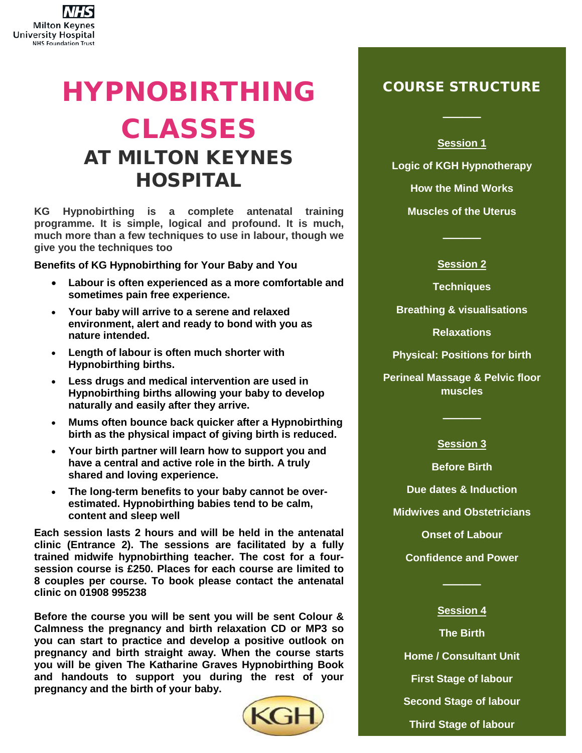

## HYPNOBIRTHING CLASSES AT MILTON KEYNES HOSPITAL

**KG Hypnobirthing is a complete antenatal training programme. It is simple, logical and profound. It is much, much more than a few techniques to use in labour, though we give you the techniques too**

**Benefits of KG Hypnobirthing for Your Baby and You**

- **Labour is often experienced as a more comfortable and sometimes pain free experience.**
- **Your baby will arrive to a serene and relaxed environment, alert and ready to bond with you as nature intended.**
- **Length of labour is often much shorter with Hypnobirthing births.**
- **Less drugs and medical intervention are used in Hypnobirthing births allowing your baby to develop naturally and easily after they arrive.**
- **Mums often bounce back quicker after a Hypnobirthing birth as the physical impact of giving birth is reduced.**
- **Your birth partner will learn how to support you and have a central and active role in the birth. A truly shared and loving experience.**
- **The long-term benefits to your baby cannot be overestimated. Hypnobirthing babies tend to be calm, content and sleep well**

**Each session lasts 2 hours and will be held in the antenatal clinic (Entrance 2). The sessions are facilitated by a fully trained midwife hypnobirthing teacher. The cost for a foursession course is £250. Places for each course are limited to 8 couples per course. To book please contact the antenatal clinic on 01908 995238**

**Before the course you will be sent you will be sent Colour & Calmness the pregnancy and birth relaxation CD or MP3 so you can start to practice and develop a positive outlook on pregnancy and birth straight away. When the course starts you will be given The Katharine Graves Hypnobirthing Book and handouts to support you during the rest of your pregnancy and the birth of your baby.**



## COURSE STRUCTURE

**Session 1** 

────

**Logic of KGH Hypnotherapy**

**How the Mind Works**

**Muscles of the Uterus**

────

**Session 2** 

**Techniques**

**Breathing & visualisations**

**Relaxations**

**Physical: Positions for birth**

**Perineal Massage & Pelvic floor muscles**

## **Session 3**

────

**Before Birth**

**Due dates & Induction**

**Midwives and Obstetricians**

**Onset of Labour**

**Confidence and Power**

## **Session 4**

────

**The Birth Home / Consultant Unit First Stage of labour Second Stage of labour Third Stage of labour**